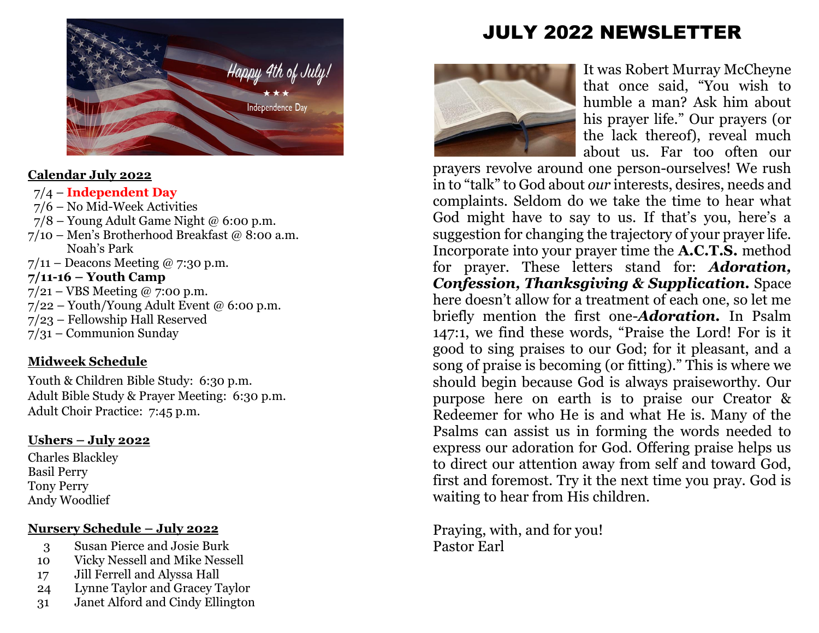

### **Calendar July 2022**

### 7/4 – **Independent Day**

- 7/6 No Mid-Week Activities
- $7/8$  Young Adult Game Night @ 6:00 p.m.
- 7/10 Men's Brotherhood Breakfast @ 8:00 a.m. Noah's Park
- $7/11$  Deacons Meeting @ 7:30 p.m.

### **7/11-16 – Youth Camp**

- $7/21 VBS$  Meeting @ 7:00 p.m.
- $7/22$  Youth/Young Adult Event @ 6:00 p.m.
- 7/23 Fellowship Hall Reserved
- 7/31 Communion Sunday

# **Midweek Schedule**

Youth & Children Bible Study: 6:30 p.m. Adult Bible Study & Prayer Meeting: 6:30 p.m. Adult Choir Practice: 7:45 p.m.

### **Ushers – July 2022**

Charles Blackley Basil Perry Tony Perry Andy Woodlief

# **Nursery Schedule – July 2022**

- 3 Susan Pierce and Josie Burk
- 10 Vicky Nessell and Mike Nessell
- 17 Jill Ferrell and Alyssa Hall
- 24 Lynne Taylor and Gracey Taylor
- 31 Janet Alford and Cindy Ellington

# JULY 2022 NEWSLETTER



It was Robert Murray McCheyne that once said, "You wish to humble a man? Ask him about his prayer life." Our prayers (or the lack thereof), reveal much about us. Far too often our

prayers revolve around one person-ourselves! We rush in to "talk" to God about *our* interests, desires, needs and complaints. Seldom do we take the time to hear what God might have to say to us. If that's you, here's a suggestion for changing the trajectory of your prayer life. Incorporate into your prayer time the **A.C.T.S.** method for prayer. These letters stand for: *Adoration, Confession, Thanksgiving & Supplication.* Space here doesn't allow for a treatment of each one, so let me briefly mention the first one-*Adoration.* In Psalm 147:1, we find these words, "Praise the Lord! For is it good to sing praises to our God; for it pleasant, and a song of praise is becoming (or fitting)." This is where we should begin because God is always praiseworthy. Our purpose here on earth is to praise our Creator & Redeemer for who He is and what He is. Many of the Psalms can assist us in forming the words needed to express our adoration for God. Offering praise helps us to direct our attention away from self and toward God, first and foremost. Try it the next time you pray. God is waiting to hear from His children.

Praying, with, and for you! Pastor Earl